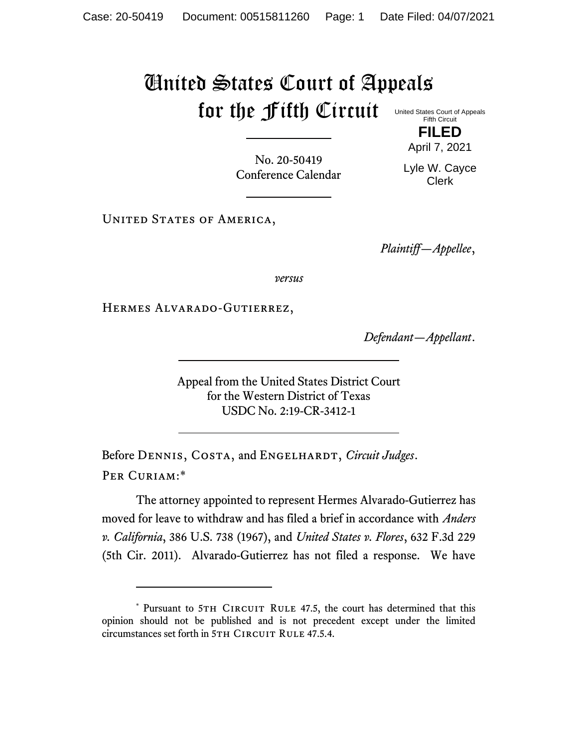## United States Court of Appeals for the Fifth Circuit

United States Court of Appeals Fifth Circuit **FILED**

April 7, 2021

No. 20-50419 Conference Calendar

Lyle W. Cayce Clerk

UNITED STATES OF AMERICA,

*Plaintiff—Appellee*,

*versus*

Hermes Alvarado-Gutierrez,

*Defendant—Appellant*.

Appeal from the United States District Court for the Western District of Texas USDC No. 2:19-CR-3412-1

Before DENNIS, COSTA, and ENGELHARDT, *Circuit Judges*. Per Curiam:\*

The attorney appointed to represent Hermes Alvarado-Gutierrez has moved for leave to withdraw and has filed a brief in accordance with *Anders v. California*, 386 U.S. 738 (1967), and *United States v. Flores*, 632 F.3d 229 (5th Cir. 2011). Alvarado-Gutierrez has not filed a response. We have

<sup>\*</sup> Pursuant to 5TH CIRCUIT RULE 47.5, the court has determined that this opinion should not be published and is not precedent except under the limited circumstances set forth in 5TH CIRCUIT RULE 47.5.4.